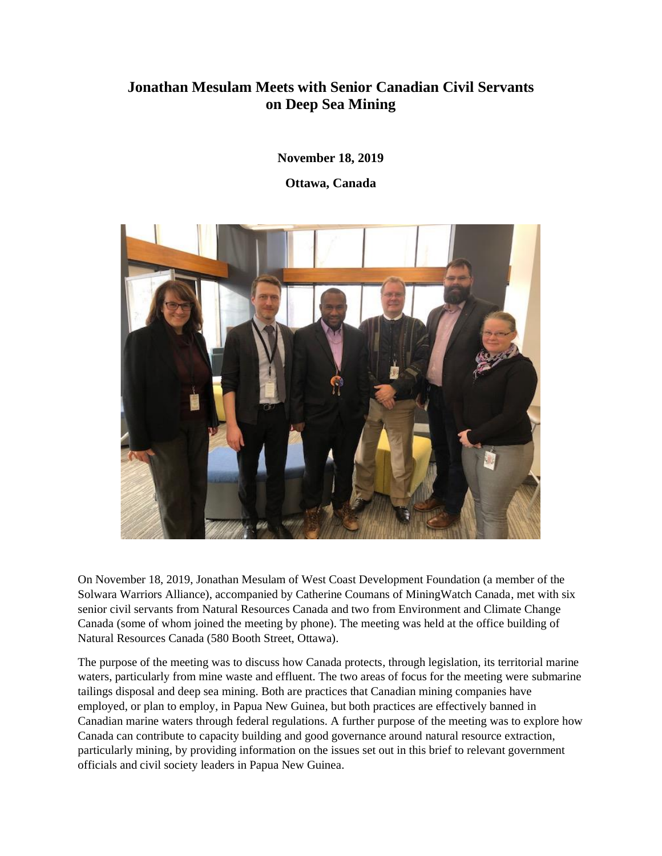## **Jonathan Mesulam Meets with Senior Canadian Civil Servants on Deep Sea Mining**

**November 18, 2019**

**Ottawa, Canada**



On November 18, 2019, Jonathan Mesulam of West Coast Development Foundation (a member of the Solwara Warriors Alliance), accompanied by Catherine Coumans of MiningWatch Canada, met with six senior civil servants from Natural Resources Canada and two from Environment and Climate Change Canada (some of whom joined the meeting by phone). The meeting was held at the office building of Natural Resources Canada (580 Booth Street, Ottawa).

The purpose of the meeting was to discuss how Canada protects, through legislation, its territorial marine waters, particularly from mine waste and effluent. The two areas of focus for the meeting were submarine tailings disposal and deep sea mining. Both are practices that Canadian mining companies have employed, or plan to employ, in Papua New Guinea, but both practices are effectively banned in Canadian marine waters through federal regulations. A further purpose of the meeting was to explore how Canada can contribute to capacity building and good governance around natural resource extraction, particularly mining, by providing information on the issues set out in this brief to relevant government officials and civil society leaders in Papua New Guinea.